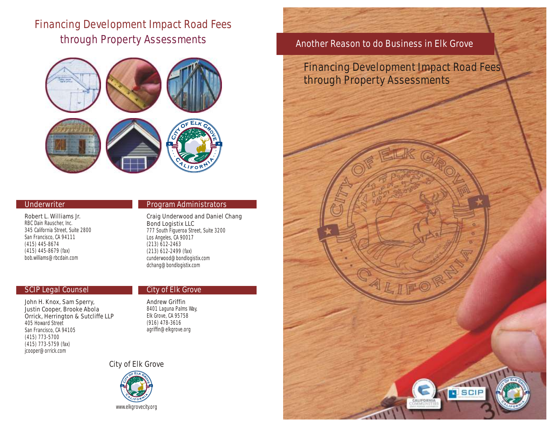# **Financing Development Impact Road Fees through Property Assessments**



#### **Underwriter**

**Robert L. Williams Jr.** RBC Dain Rauscher, Inc. 345 California Street, Suite 2800 San Francisco, CA 94111 (415) 445-8674 (415) 445-8679 (fax) bob.williams@rbcdain.com

#### **SCIP Legal Counsel**

**John H. Knox, Sam Sperry, Justin Cooper, Brooke Abola Orrick, Herrington & Sutcliffe LLP** 405 Howard Street San Francisco, CA 94105 (415) 773-5700 (415) 773-5759 (fax) jcooper@orrick.com

### **Program Administrators**

**Craig Underwood and Daniel Chang Bond Logistix LLC** 777 South Figueroa Street, Suite 3200 Los Angeles, CA 90017 (213) 612-2463 (213) 612-2499 (fax) cunderwood@bondlogistix.com dchang@bondlogistix.com

#### **City of Elk Grove**

**Andrew Griffin** 8401 Laguna Palms Way, Elk Grove, CA 95758 (916) 478-3616 agriffin@elkgrove.org

**City of Elk Grove**



**Another Reason to do Business in Elk Grove**

**Financing Development Impact Road Fees through Property Assessments**

SCIF